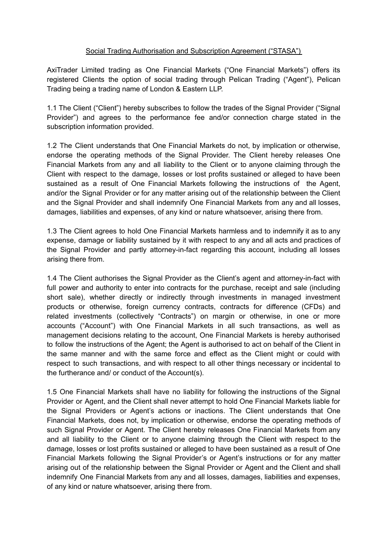## Social Trading Authorisation and Subscription Agreement ("STASA")

AxiTrader Limited trading as One Financial Markets ("One Financial Markets") offers its registered Clients the option of social trading through Pelican Trading ("Agent"), Pelican Trading being a trading name of London & Eastern LLP.

1.1 The Client ("Client") hereby subscribes to follow the trades of the Signal Provider ("Signal Provider") and agrees to the performance fee and/or connection charge stated in the subscription information provided.

1.2 The Client understands that One Financial Markets do not, by implication or otherwise, endorse the operating methods of the Signal Provider. The Client hereby releases One Financial Markets from any and all liability to the Client or to anyone claiming through the Client with respect to the damage, losses or lost profits sustained or alleged to have been sustained as a result of One Financial Markets following the instructions of the Agent, and/or the Signal Provider or for any matter arising out of the relationship between the Client and the Signal Provider and shall indemnify One Financial Markets from any and all losses, damages, liabilities and expenses, of any kind or nature whatsoever, arising there from.

1.3 The Client agrees to hold One Financial Markets harmless and to indemnify it as to any expense, damage or liability sustained by it with respect to any and all acts and practices of the Signal Provider and partly attorney-in-fact regarding this account, including all losses arising there from.

1.4 The Client authorises the Signal Provider as the Client's agent and attorney-in-fact with full power and authority to enter into contracts for the purchase, receipt and sale (including short sale), whether directly or indirectly through investments in managed investment products or otherwise, foreign currency contracts, contracts for difference (CFDs) and related investments (collectively "Contracts") on margin or otherwise, in one or more accounts ("Account") with One Financial Markets in all such transactions, as well as management decisions relating to the account, One Financial Markets is hereby authorised to follow the instructions of the Agent; the Agent is authorised to act on behalf of the Client in the same manner and with the same force and effect as the Client might or could with respect to such transactions, and with respect to all other things necessary or incidental to the furtherance and/ or conduct of the Account(s).

1.5 One Financial Markets shall have no liability for following the instructions of the Signal Provider or Agent, and the Client shall never attempt to hold One Financial Markets liable for the Signal Providers or Agent's actions or inactions. The Client understands that One Financial Markets, does not, by implication or otherwise, endorse the operating methods of such Signal Provider or Agent. The Client hereby releases One Financial Markets from any and all liability to the Client or to anyone claiming through the Client with respect to the damage, losses or lost profits sustained or alleged to have been sustained as a result of One Financial Markets following the Signal Provider's or Agent's instructions or for any matter arising out of the relationship between the Signal Provider or Agent and the Client and shall indemnify One Financial Markets from any and all losses, damages, liabilities and expenses, of any kind or nature whatsoever, arising there from.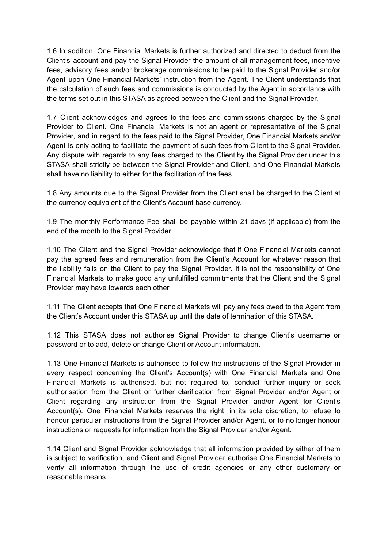1.6 In addition, One Financial Markets is further authorized and directed to deduct from the Client's account and pay the Signal Provider the amount of all management fees, incentive fees, advisory fees and/or brokerage commissions to be paid to the Signal Provider and/or Agent upon One Financial Markets' instruction from the Agent. The Client understands that the calculation of such fees and commissions is conducted by the Agent in accordance with the terms set out in this STASA as agreed between the Client and the Signal Provider.

1.7 Client acknowledges and agrees to the fees and commissions charged by the Signal Provider to Client. One Financial Markets is not an agent or representative of the Signal Provider, and in regard to the fees paid to the Signal Provider, One Financial Markets and/or Agent is only acting to facilitate the payment of such fees from Client to the Signal Provider. Any dispute with regards to any fees charged to the Client by the Signal Provider under this STASA shall strictly be between the Signal Provider and Client, and One Financial Markets shall have no liability to either for the facilitation of the fees.

1.8 Any amounts due to the Signal Provider from the Client shall be charged to the Client at the currency equivalent of the Client's Account base currency.

1.9 The monthly Performance Fee shall be payable within 21 days (if applicable) from the end of the month to the Signal Provider.

1.10 The Client and the Signal Provider acknowledge that if One Financial Markets cannot pay the agreed fees and remuneration from the Client's Account for whatever reason that the liability falls on the Client to pay the Signal Provider. It is not the responsibility of One Financial Markets to make good any unfulfilled commitments that the Client and the Signal Provider may have towards each other.

1.11 The Client accepts that One Financial Markets will pay any fees owed to the Agent from the Client's Account under this STASA up until the date of termination of this STASA.

1.12 This STASA does not authorise Signal Provider to change Client's username or password or to add, delete or change Client or Account information.

1.13 One Financial Markets is authorised to follow the instructions of the Signal Provider in every respect concerning the Client's Account(s) with One Financial Markets and One Financial Markets is authorised, but not required to, conduct further inquiry or seek authorisation from the Client or further clarification from Signal Provider and/or Agent or Client regarding any instruction from the Signal Provider and/or Agent for Client's Account(s). One Financial Markets reserves the right, in its sole discretion, to refuse to honour particular instructions from the Signal Provider and/or Agent, or to no longer honour instructions or requests for information from the Signal Provider and/or Agent.

1.14 Client and Signal Provider acknowledge that all information provided by either of them is subject to verification, and Client and Signal Provider authorise One Financial Markets to verify all information through the use of credit agencies or any other customary or reasonable means.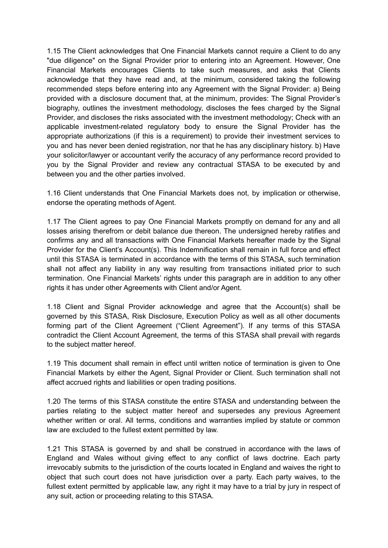1.15 The Client acknowledges that One Financial Markets cannot require a Client to do any "due diligence" on the Signal Provider prior to entering into an Agreement. However, One Financial Markets encourages Clients to take such measures, and asks that Clients acknowledge that they have read and, at the minimum, considered taking the following recommended steps before entering into any Agreement with the Signal Provider: a) Being provided with a disclosure document that, at the minimum, provides: The Signal Provider's biography, outlines the investment methodology, discloses the fees charged by the Signal Provider, and discloses the risks associated with the investment methodology; Check with an applicable investment-related regulatory body to ensure the Signal Provider has the appropriate authorizations (if this is a requirement) to provide their investment services to you and has never been denied registration, nor that he has any disciplinary history. b) Have your solicitor/lawyer or accountant verify the accuracy of any performance record provided to you by the Signal Provider and review any contractual STASA to be executed by and between you and the other parties involved.

1.16 Client understands that One Financial Markets does not, by implication or otherwise, endorse the operating methods of Agent.

1.17 The Client agrees to pay One Financial Markets promptly on demand for any and all losses arising therefrom or debit balance due thereon. The undersigned hereby ratifies and confirms any and all transactions with One Financial Markets hereafter made by the Signal Provider for the Client's Account(s). This Indemnification shall remain in full force and effect until this STASA is terminated in accordance with the terms of this STASA, such termination shall not affect any liability in any way resulting from transactions initiated prior to such termination. One Financial Markets' rights under this paragraph are in addition to any other rights it has under other Agreements with Client and/or Agent.

1.18 Client and Signal Provider acknowledge and agree that the Account(s) shall be governed by this STASA, Risk Disclosure, Execution Policy as well as all other documents forming part of the Client Agreement ("Client Agreement"). If any terms of this STASA contradict the Client Account Agreement, the terms of this STASA shall prevail with regards to the subject matter hereof.

1.19 This document shall remain in effect until written notice of termination is given to One Financial Markets by either the Agent, Signal Provider or Client. Such termination shall not affect accrued rights and liabilities or open trading positions.

1.20 The terms of this STASA constitute the entire STASA and understanding between the parties relating to the subject matter hereof and supersedes any previous Agreement whether written or oral. All terms, conditions and warranties implied by statute or common law are excluded to the fullest extent permitted by law.

1.21 This STASA is governed by and shall be construed in accordance with the laws of England and Wales without giving effect to any conflict of laws doctrine. Each party irrevocably submits to the jurisdiction of the courts located in England and waives the right to object that such court does not have jurisdiction over a party. Each party waives, to the fullest extent permitted by applicable law, any right it may have to a trial by jury in respect of any suit, action or proceeding relating to this STASA.